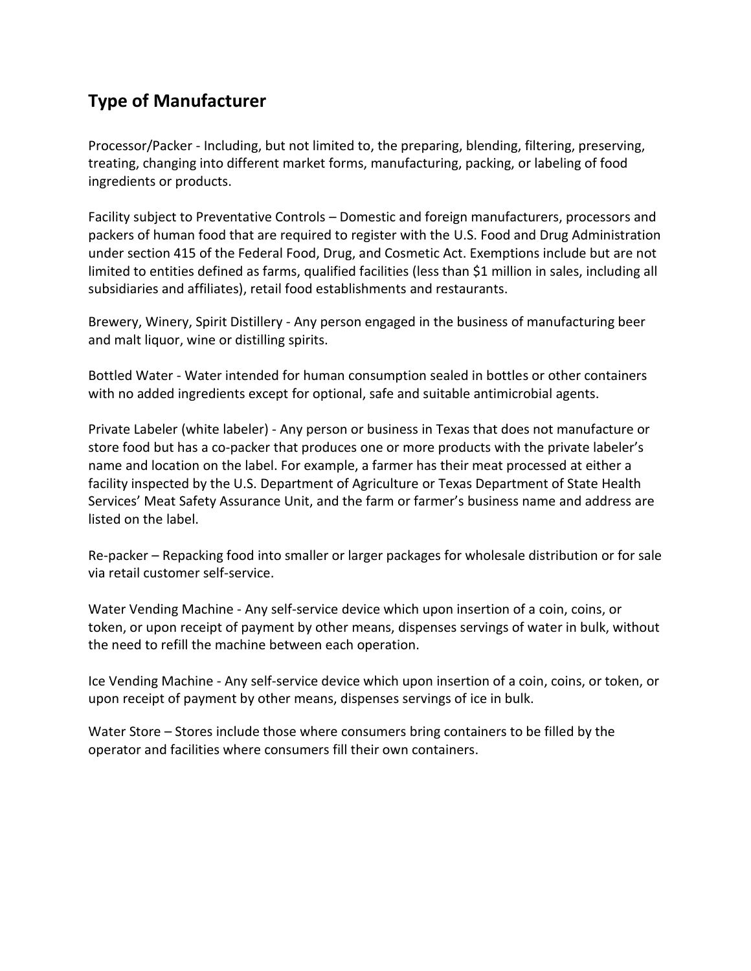## **Type of Manufacturer**

Processor/Packer - Including, but not limited to, the preparing, blending, filtering, preserving, treating, changing into different market forms, manufacturing, packing, or labeling of food ingredients or products.

Facility subject to Preventative Controls – Domestic and foreign manufacturers, processors and packers of human food that are required to register with the U.S. Food and Drug Administration under section 415 of the Federal Food, Drug, and Cosmetic Act. Exemptions include but are not limited to entities defined as farms, qualified facilities (less than \$1 million in sales, including all subsidiaries and affiliates), retail food establishments and restaurants.

Brewery, Winery, Spirit Distillery - Any person engaged in the business of manufacturing beer and malt liquor, wine or distilling spirits.

Bottled Water - Water intended for human consumption sealed in bottles or other containers with no added ingredients except for optional, safe and suitable antimicrobial agents.

Private Labeler (white labeler) - Any person or business in Texas that does not manufacture or store food but has a co-packer that produces one or more products with the private labeler's name and location on the label. For example, a farmer has their meat processed at either a facility inspected by the U.S. Department of Agriculture or Texas Department of State Health Services' Meat Safety Assurance Unit, and the farm or farmer's business name and address are listed on the label.

Re-packer – Repacking food into smaller or larger packages for wholesale distribution or for sale via retail customer self-service.

Water Vending Machine - Any self-service device which upon insertion of a coin, coins, or token, or upon receipt of payment by other means, dispenses servings of water in bulk, without the need to refill the machine between each operation.

Ice Vending Machine - Any self-service device which upon insertion of a coin, coins, or token, or upon receipt of payment by other means, dispenses servings of ice in bulk.

Water Store – Stores include those where consumers bring containers to be filled by the operator and facilities where consumers fill their own containers.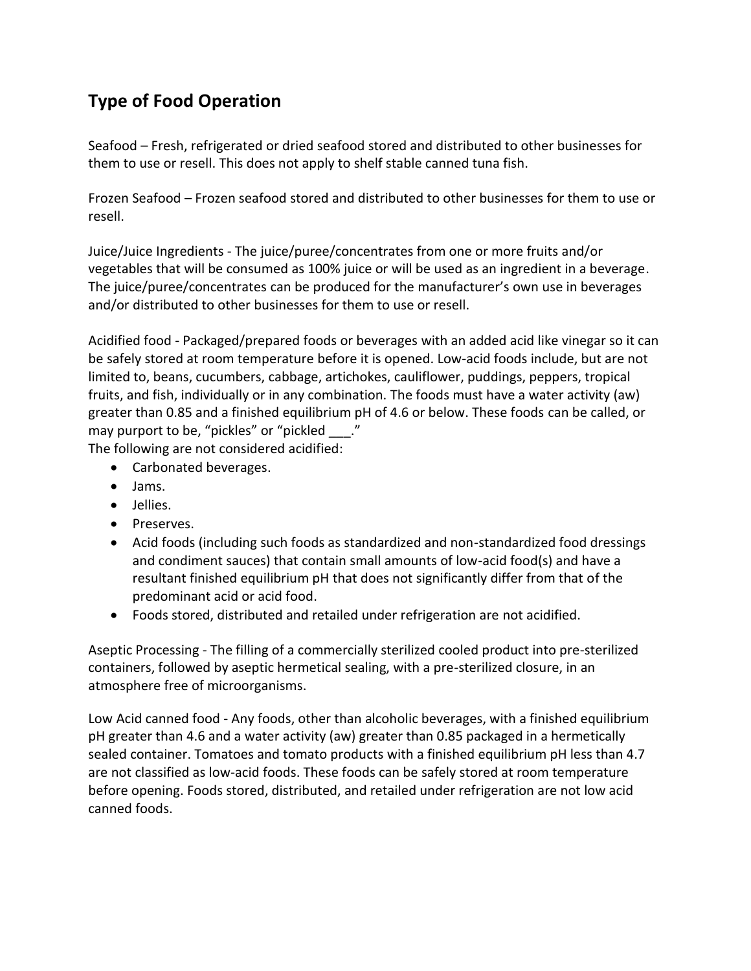## **Type of Food Operation**

Seafood – Fresh, refrigerated or dried seafood stored and distributed to other businesses for them to use or resell. This does not apply to shelf stable canned tuna fish.

Frozen Seafood – Frozen seafood stored and distributed to other businesses for them to use or resell.

Juice/Juice Ingredients - The juice/puree/concentrates from one or more fruits and/or vegetables that will be consumed as 100% juice or will be used as an ingredient in a beverage. The juice/puree/concentrates can be produced for the manufacturer's own use in beverages and/or distributed to other businesses for them to use or resell.

Acidified food - Packaged/prepared foods or beverages with an added acid like vinegar so it can be safely stored at room temperature before it is opened. Low-acid foods include, but are not limited to, beans, cucumbers, cabbage, artichokes, cauliflower, puddings, peppers, tropical fruits, and fish, individually or in any combination. The foods must have a water activity (aw) greater than 0.85 and a finished equilibrium pH of 4.6 or below. These foods can be called, or may purport to be, "pickles" or "pickled \_\_\_." The following are not considered acidified:

• Carbonated beverages.

- Jams.
- Jellies.
- Preserves.
- Acid foods (including such foods as standardized and non-standardized food dressings and condiment sauces) that contain small amounts of low-acid food(s) and have a resultant finished equilibrium pH that does not significantly differ from that of the predominant acid or acid food.
- Foods stored, distributed and retailed under refrigeration are not acidified.

Aseptic Processing - The filling of a commercially sterilized cooled product into pre-sterilized containers, followed by aseptic hermetical sealing, with a pre-sterilized closure, in an atmosphere free of microorganisms.

Low Acid canned food - Any foods, other than alcoholic beverages, with a finished equilibrium pH greater than 4.6 and a water activity (aw) greater than 0.85 packaged in a hermetically sealed container. Tomatoes and tomato products with a finished equilibrium pH less than 4.7 are not classified as low-acid foods. These foods can be safely stored at room temperature before opening. Foods stored, distributed, and retailed under refrigeration are not low acid canned foods.